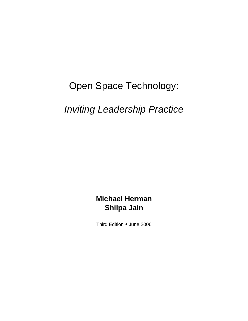# Open Space Technology:

# *Inviting Leadership Practice*

# **Michael Herman Shilpa Jain**

Third Edition • June 2006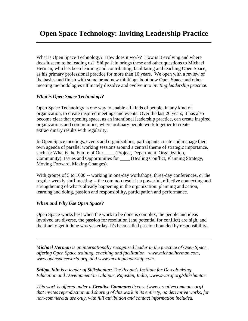# **Open Space Technology: Inviting Leadership Practice**

What is Open Space Technology? How does it work? How is it evolving and where does it seem to be leading us? Shilpa Jain brings these and other questions to Michael Herman, who has been learning and contributing, facilitating and teaching Open Space, as his primary professional practice for more than 10 years. We open with a review of the basics and finish with some brand new thinking about how Open Space and other meeting methodologies ultimately dissolve and evolve into *inviting leadership practice*.

# *What is Open Space Technology?*

Open Space Technology is one way to enable all kinds of people, in any kind of organization, to create inspired meetings and events. Over the last 20 years, it has also become clear that opening space, as an intentional leadership practice, can create inspired organizations and communities, where ordinary people work together to create extraordinary results with regularity.

In Open Space meetings, events and organizations, participants create and manage their own agenda of parallel working sessions around a central theme of strategic importance, such as: What is the Future of Our \_\_\_\_\_ (Project, Department, Organization, Community): Issues and Opportunities for \_\_\_\_ (Healing Conflict, Planning Strategy, Moving Forward, Making Changes).

With groups of 5 to 1000 -- working in one-day workshops, three-day conferences, or the regular weekly staff meeting -- the common result is a powerful, effective connecting and strengthening of what's already happening in the organization: planning and action, learning and doing, passion and responsibility, participation and performance.

#### *When and Why Use Open Space?*

 $\overline{a}$ 

 $\overline{a}$ 

Open Space works best when the work to be done is complex, the people and ideas involved are diverse, the passion for resolution (and potential for conflict) are high, and the time to get it done was yesterday. It's been called passion bounded by responsibility,

*Michael Herman is an internationally recognized leader in the practice of Open Space, offering Open Space training, coaching and facilitation. www.michaelherman.com, www.openspaceworld.org, and www.invitingleadership.com.*

*Shilpa Jain is a leader of Shikshantar: The People's Institute for De-colonizing Education and Development in Udaipur, Rajastan, India, www.swaraj.org/shikshantar.*

*This work is offered under a Creative Commons license (www.creativecommons.org) that invites reproduction and sharing of this work in its entirety, no derivative works, for non-commercial use only, with full attribution and contact information included.*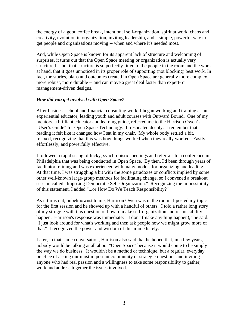the energy of a good coffee break, intentional self-organization, spirit at work, chaos and creativity, evolution in organization, inviting leadership, and a simple, powerful way to get people and organizations moving -- when and where it's needed most.

And, while Open Space is known for its apparent lack of structure and welcoming of surprises, it turns out that the Open Space meeting or organization is actually very structured -- but that structure is so perfectly fitted to the people in the room and the work at hand, that it goes unnoticed in its proper role of supporting (not blocking) best work. In fact, the stories, plans and outcomes created in Open Space are generally more complex, more robust, more durable -- and can move a great deal faster than expert- or management-driven designs.

# *How did you get involved with Open Space?*

After business school and financial consulting work, I began working and training as an experiential educator, leading youth and adult courses with Outward Bound. One of my mentors, a brilliant educator and learning guide, referred me to the Harrison Owen's "User's Guide" for Open Space Technology. It resonated deeply. I remember that reading it felt like it changed how I sat in my chair. My whole body settled a bit, relaxed, recognizing that this was how things worked when they really worked. Easily, effortlessly, and powerfully effective.

I followed a rapid string of lucky, synchronistic meetings and referrals to a conference in Philadelphia that was being conducted in Open Space. By then, I'd been through years of facilitator training and was experienced with many models for organizing and leading. At that time, I was struggling a bit with the some paradoxes or conflicts implied by some other well-known large-group methods for facilitating change, so I convened a breakout session called "Imposing Democratic Self-Organization." Recognizing the impossibility of this statement, I added "...or How Do We Teach Responsibility?"

As it turns out, unbeknownst to me, Harrison Owen was in the room. I posted my topic for the first session and he showed up with a handful of others. I told a rather long story of my struggle with this question of how to make self-organization and responsibility happen. Harrison's response was immediate: "I don't (make anything happen)," he said. "I just look around for what's working and then ask people how we might grow more of that." I recognized the power and wisdom of this immediately.

Later, in that same conversation, Harrison also said that he hoped that, in a few years, nobody would be talking at all about "Open Space" because it would come to be simply the way we do business. It wouldn't be a method or technique, but a regular, everyday practice of asking our most important community or strategic questions and inviting anyone who had real passion and a willingness to take some responsibility to gather, work and address together the issues involved.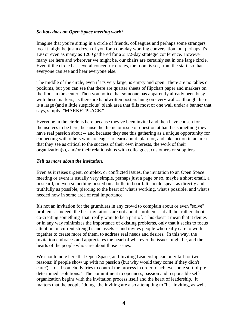#### *So how does an Open Space meeting work?*

Imagine that you're sitting in a circle of friends, colleagues and perhaps some strangers, too. It might be just a dozen of you for a one-day working conversation, but perhaps it's 120 or even as many as 1200 gathered for a 2 1/2-day strategic conference. However many are here and wherever we might be, our chairs are certainly set in one large circle. Even if the circle has several concentric circles, the room is set, from the start, so that everyone can see and hear everyone else.

The middle of the circle, even if it's very large, is empty and open. There are no tables or podiums, but you can see that there are quarter sheets of flipchart paper and markers on the floor in the center. Then you notice that someone has apparently already been busy with these markers, as there are handwritten posters hung on every wall...although there is a large (and a little suspicious) blank area that fills most of one wall under a banner that says, simply, "MARKETPLACE."

Everyone in the circle is here because they've been invited and then have chosen for themselves to be here, because the theme or issue or question at hand is something they have real passion about -- and because they see this gathering as a unique opportunity for connecting with others who are eager to learn about, plan for, and take action in an area that they see as critical to the success of their own interests, the work of their organization(s), and/or their relationships with colleagues, customers or suppliers.

#### *Tell us more about the invitation.*

Even as it raises urgent, complex, or conflicted issues, the invitation to an Open Space meeting or event is usually very simple, perhaps just a page or so, maybe a short email, a postcard, or even something posted on a bulletin board. It should speak as directly and truthfully as possible, piercing to the heart of what's working, what's possible, and what's needed now in some area of real importance.

It's not an invitation for the grumblers in any crowd to complain about or even "solve" problems. Indeed, the best invitations are not about "problems" at all, but rather about co-creating something that really want to be a part of. This doesn't mean that it denies or in any way minimizes the importance of existing problems, only that it seeks to focus attention on current strengths and assets -- and invites people who really care to work together to create more of them, to address real needs and desires. In this way, the invitation embraces and appreciates the heart of whatever the issues might be, and the hearts of the people who care about those issues.

We should note here that Open Space, and Inviting Leadership can only fail for two reasons: if people show up with no passion (but why would they come if they didn't care?) -- or if somebody tries to control the process in order to achieve some sort of predetermined "solutions." The commitment to openness, passion and responsible selforganization begins with the invitation process itself and the heart of leadership. It matters that the people ''doing'' the inviting are also attempting to ''be'' inviting, as well.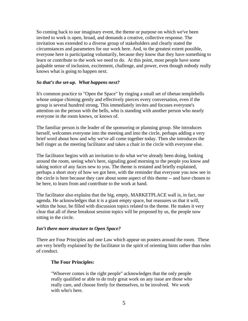So coming back to our imaginary event, the theme or purpose on which we've been invited to work is open, broad, and demands a creative, collective response. The invitation was extended to a diverse group of stakeholders and clearly stated the circumstances and parameters for our work here. And, to the greatest extent possible, everyone here is participating voluntarily, because they know that they have something to learn or contribute to the work we need to do. At this point, most people have some palpable sense of inclusion, excitement, challenge, and power, even though nobody really knows what is going to happen next.

# *So that's the set-up. What happens next?*

It's common practice to "Open the Space" by ringing a small set of tibetan templebells whose unique chiming gently and effectively pierces every conversation, even if the group is several hundred strong. This immediately invites and focuses everyone's attention on the person with the bells, who is standing with another person who nearly everyone in the room knows, or knows of.

The familiar person is the leader of the sponsoring or planning group. She introduces herself, welcomes everyone into the meeting and into the circle, perhaps adding a very brief word about how and why we've all come together today. Then she introduces the bell ringer as the meeting facilitator and takes a chair in the circle with everyone else.

The facilitator begins with an invitation to do what we've already been doing, looking around the room, seeing who's here, signaling good morning to the people you know and taking notice of any faces new to you. The theme is restated and briefly explained, perhaps a short story of how we got here, with the reminder that everyone you now see in the circle is here because they care about some aspect of this theme -- and have chosen to be here, to learn from and contribute to the work at hand.

The facilitator also explains that the big, empty, MARKETPLACE wall is, in fact, our agenda. He acknowledges that it is a giant empty space, but reassures us that it will, within the hour, be filled with discussion topics related to the theme. He makes it very clear that all of these breakout session topics will be proposed by us, the people now sitting in the circle.

#### *Isn't there more structure to Open Space?*

There are Four Principles and one Law which appear on posters around the room. These are very briefly explained by the facilitator in the spirit of orienting hints rather than rules of conduct.

# **The Four Principles:**

"Whoever comes is the right people" acknowledges that the only people really qualified or able to do truly great work on any issue are those who really care, and choose freely for themselves, to be involved. We work with who's here.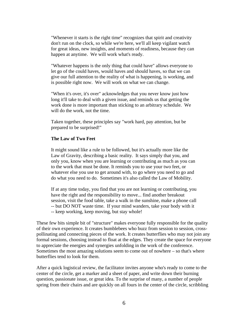"Whenever it starts is the right time" recognizes that spirit and creativity don't run on the clock, so while we're here, we'll all keep vigilant watch for great ideas, new insights, and moments of readiness, because they can happen at anytime. We will work what's ready.

"Whatever happens is the only thing that could have" allows everyone to let go of the could haves, would haves and should haves, so that we can give our full attention to the reality of what is happening, is working, and is possible right now. We will work on what we can change.

"When it's over, it's over" acknowledges that you never know just how long it'll take to deal with a given issue, and reminds us that getting the work done is more important than sticking to an arbitrary schedule. We will do the work, not the time.

Taken together, these principles say "work hard, pay attention, but be prepared to be surprised!"

#### **The Law of Two Feet**

It might sound like a rule to be followed, but it's actually more like the Law of Gravity, describing a basic reality. It says simply that you, and only you, know when you are learning or contributing as much as you can to the work that must be done. It reminds you to use your two feet, or whatever else you use to get around with, to go where you need to go and do what you need to do. Sometimes it's also called the Law of Mobility.

If at any time today, you find that you are not learning or contributing, you have the right and the responsibility to move... find another breakout session, visit the food table, take a walk in the sunshine, make a phone call -- but DO NOT waste time. If your mind wanders, take your body with it -- keep working, keep moving, but stay whole!

These few bits simple bit of "structure" makes everyone fully responsible for the quality of their own experience. It creates bumblebees who buzz from session to session, crosspollinating and connecting pieces of the work. It creates butterflies who may not join any formal sessions, choosing instead to float at the edges. They create the space for everyone to appreciate the energies and synergies unfolding in the work of the conference. Sometimes the most amazing solutions seem to come out of nowhere – so that's where butterflies tend to look for them.

After a quick logistical review, the facilitator invites anyone who's ready to come to the center of the circle, get a marker and a sheet of paper, and write down their burning question, passionate issue, or great idea. To the surprise of many, a number of people spring from their chairs and are quickly on all fours in the center of the circle, scribbling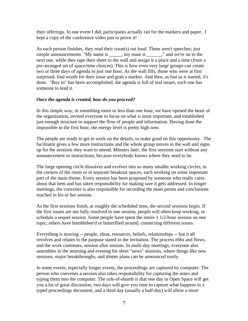their offerings. In one event I did, participants actually ran for the markers and paper. I kept a copy of the conference video just to prove it!

As each person finishes, they read their issue(s) out loud. These aren't speeches; just simple announcements. "My name is \_\_\_\_\_, my issue is \_\_\_\_\_," and we're on to the next one, while they tape their sheet to the wall and assign it a place and a time (from a pre-arranged set of space/time choices). This is how even very large groups can create two or three days of agenda in just one hour. As the wall fills, those who were at first surprised, find words for their issue and grab a marker. And then, as fast as it started, it's done. "Buy in" has been accomplished, the agenda is full of real issues, each one has someone to lead it.

# *Once the agenda is created, how do you proceed?*

In this simple way, in something more or less than one hour, we have opened the heart of the organization, invited everyone to focus on what is most important, and established just enough structure to support the flow of people and information. Having done the impossible in the first hour, the energy level is pretty high now.

The people are ready to get to work on the details, to make good on this opportunity. The facilitator gives a few more instructions and the whole group moves to the wall and signs up for the sessions they want to attend. Minutes later, the first sessions start without any announcement or instructions, because everybody knows where they need to be.

The large opening circle dissolves and evolves into so many smaller working circles, in the corners of the room or in separate breakout spaces, each working on some important part of the main theme. Every session has been proposed by someone who really cares about that item and has taken responsibility for making sure it gets addressed. In longer meetings, the convener is also responsible for recording the main points and conclusions reached in his or her session.

As the first sessions finish, at roughly the scheduled time, the second sessions begin. If the first issues are not fully resolved in one session, people will often keep working, or schedule a sequel session. Some people have spent the entire 1 1/2-hour session on one topic; others have bumblebee'd or butterflied around, connecting different issues.

Everything is moving -- people, ideas, resources, beliefs, relationships -- but it all revolves and relates to the purpose stated in the invitation. The process ebbs and flows, and the work continues, session after session. In multi-day meetings, everyone also assembles in the morning and evening for short "news" sessions, where things like new sessions, major breakthroughs, and dinner plans can be announced easily.

In some events, especially longer events, the proceedings are captured by computer. The person who convenes a session also takes responsibility for capturing the notes and typing them into the computer. The rule-of-thumb is that one day in Open Space will get you a lot of great discussion, two days will give you time to capture what happens in a typed proceedings document, and a third day (usually a half-day) will allow a more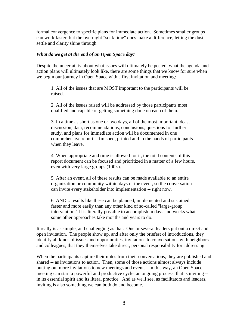formal convergence to specific plans for immediate action. Sometimes smaller groups can work faster, but the overnight "soak time" does make a difference, letting the dust settle and clarity shine through.

#### *What do we get at the end of an Open Space day?*

Despite the uncertainty about what issues will ultimately be posted, what the agenda and action plans will ultimately look like, there are some things that we know for sure when we begin our journey in Open Space with a first invitation and meeting:

1. All of the issues that are MOST important to the participants will be raised.

2. All of the issues raised will be addressed by those participants most qualified and capable of getting something done on each of them.

3. In a time as short as one or two days, all of the most important ideas, discussion, data, recommendations, conclusions, questions for further study, and plans for immediate action will be documented in one comprehensive report -- finished, printed and in the hands of participants when they leave.

4. When appropriate and time is allowed for it, the total contents of this report document can be focused and prioritized in a matter of a few hours, even with very large groups (100's).

5. After an event, all of these results can be made available to an entire organization or community within days of the event, so the conversation can invite every stakeholder into implementation -- right now.

6. AND... results like these can be planned, implemented and sustained faster and more easily than any other kind of so-called "large-group intervention." It is literally possible to accomplish in days and weeks what some other approaches take months and years to do.

It really is as simple, and challenging as that. One or several leaders put out a direct and open invitation. The people show up, and after only the briefest of introductions, they identify all kinds of issues and opportunities, invitations to conversations with neighbors and colleagues, that they themselves take direct, personal responsibility for addressing.

When the participants capture their notes from their conversations, they are published and shared -- as invitations to action. Then, some of those actions almost always include putting out more invitations to new meetings and events. In this way, an Open Space meeting can start a powerful and productive cycle, an ongoing process, that is inviting - in its essential spirit and its literal practice. And as we'll see, as facilitators and leaders, inviting is also something we can both do and become.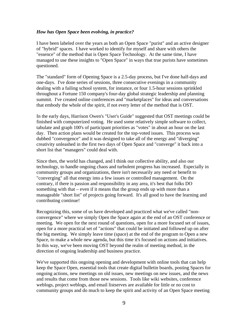#### *How has Open Space been evolving, in practice?*

I have been labeled over the years as both an Open Space "purist" and an active designer of "hybrid" spaces. I have worked to identify for myself and share with others the "essence" of the method that is Open Space Technology. At the same time, I have managed to use these insights to "Open Space" in ways that true purists have sometimes questioned.

The "standard" form of Opening Space is a 2.5-day process, but I've done half-days and one-days. I've done series of sessions, three consecutive evenings in a community dealing with a failing school system, for instance, or four 1.5-hour sessions sprinkled throughout a Fortune 150 company's four-day global strategic leadership and planning summit. I've created online conferences and "marketplaces" for ideas and conversations that embody the whole of the spirit, if not every letter of the method that is OST.

In the early days, Harrison Owen's "User's Guide" suggested that OST meetings could be finished with computerized voting. He used some relatively simple software to collect, tabulate and graph 100's of participant priorities as "votes" in about an hour on the last day. Then action plans would be created for the top-voted issues. This process was dubbed "convergence" and it was designed to take all of the energy and "diverging" creativity unleashed in the first two days of Open Space and "converge" it back into a short list that "managers" could deal with.

Since then, the world has changed, and I think our collective ability, and also our technology, to handle ongoing chaos and turbulent progress has increased. Especially in community groups and organizations, there isn't necessarily any need or benefit to "converging" all that energy into a few issues or controlled management. On the contrary, if there is passion and responsibility in any area, it's best that folks DO something with that – even if it means that the group ends up with more than a manageable "short list" of projects going forward. It's all good to have the learning and contributing continue!

Recognizing this, some of us have developed and practiced what we've called "nonconvergence" where we simply Open the Space again at the end of an OST conference or meeting. We open for the next round of questions, open for a more focused set of issues, open for a more practical set of "actions" that could be initiated and followed up on after the big meeting. We simply leave time (space) at the end of the program to Open a new Space, to make a whole new agenda, but this time it's focused on actions and initiatives. In this way, we've been moving OST beyond the realm of meeting method, in the direction of ongoing leadership and business practice.

We've supported this ongoing opening and development with online tools that can help keep the Space Open, essential tools that create digital bulletin boards, posting Spaces for ongoing actions, new meetings on old issues, new meetings on new issues, and the news and results that come from those new sessions. Tools like wiki websites, conference weblogs, project weblogs, and email listserves are available for little or no cost to community groups and do much to keep the spirit and activity of an Open Space meeting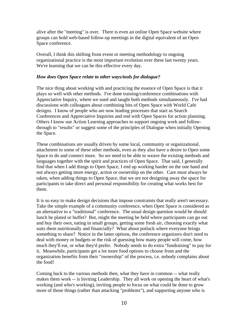alive after the "meeting" is over. There is even an online Open Space website where groups can hold web-based follow-up meetings in the digital equivalent of an Open Space conference.

Overall, I think this shifting from event or meeting methodology to ongoing organizational practice is the most important evolution over these last twenty years. We're learning that we can be this effective every day.

# *How does Open Space relate to other ways/tools for dialogue?*

The nice thing about working with and practicing the essence of Open Space is that it plays so well with other methods. I've done training/conference combinations with Appreciative Inquiry, where we used and taught both methods simultaneously. I've had discussions with colleagues about combining bits of Open Space with World Cafe designs. I know of people who are now leading processes that start as Search Conferences and Appreciative Inquiries and end with Open Spaces for action planning. Others I know use Action Learning approaches to support ongoing work and followthrough to "results" or suggest some of the principles of Dialogue when initially Opening the Space.

These combinations are usually driven by some local, community or organizational, attachment to some of these other methods, even as they also have a desire to Open some Space to do and connect more. So we need to be able to weave the existing methods and languages together with the spirit and practices of Open Space. That said, I generally find that when I add things to Open Space, I end up working harder on the one hand and not always getting more energy, action or ownership on the other. Care must always be taken, when adding things to Open Space, that we are not designing away the space for participants to take direct and personal responsibility for creating what works best for them.

It is so easy to make design decisions that impose constraints that really aren't necessary. Take the simple example of a community conference, when Open Space is considered as an alternative to a "traditional" conference. The usual design question would be should lunch be plated or buffet? But, might the meeting be held where participants can go out and buy their own, eating in small groups, getting some fresh air, choosing exactly what suits them nutritionally and financially? What about potluck where everyone brings something to share? Notice in the latter options, the conference organizers don't need to deal with money or budgets or the risk of guessing how many people will come, how much they'll eat, or what they'd prefer. Nobody needs to do extra "fundraising" to pay for it. Meanwhile, participants get a lot more food options to choose from and the organization benefits from their "ownership" of the process, i.e. nobody complains about the food!

Coming back to the various methods then, what they have in common -- what really makes them work -- is Inviting Leadership. They all work on opening the heart of what's working (and who's working), inviting people to focus on what could be done to grow more of those things (rather than attacking "problems"), and supporting anyone who is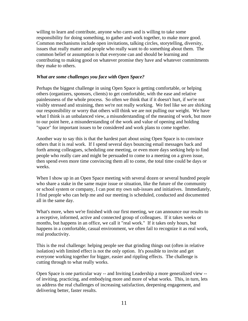willing to learn and contribute, anyone who cares and is willing to take some responsibility for doing something, to gather and work together, to make more good. Common mechanisms include open invitations, talking circles, storytelling, diversity, issues that really matter and people who really want to do something about them. The common belief or assumption is that everyone can and should be learning and contributing to making good on whatever promise they have and whatever commitments they make to others.

# *What are some challenges you face with Open Space?*

Perhaps the biggest challenge in using Open Space is getting comfortable, or helping others (organizers, sponsors, clients) to get comfortable, with the ease and relative painlessness of the whole process. So often we think that if it doesn't hurt, if we're not visibly stressed and straining, then we're not really working. We feel like we are shirking our responsibility or worry that others will think we are not pulling our weight. We have what I think is an unbalanced view, a misunderstanding of the meaning of work, but more to our point here, a misunderstanding of the work and value of opening and holding "space" for important issues to be considered and work plans to come together.

Another way to say this is that the hardest part about using Open Space is to convince others that it is real work. If I spend several days bouncing email messages back and forth among colleagues, scheduling one meeting, or even more days seeking help to find people who really care and might be persuaded to come to a meeting on a given issue, then spend even more time convincing them all to come, the total time could be days or weeks.

When I show up in an Open Space meeting with several dozen or several hundred people who share a stake in the same major issue or situation, like the future of the community or school system or company, I can post my own sub-issues and initiatives. Immediately, I find people who can help me and our meeting is scheduled, conducted and documented all in the same day.

What's more, when we're finished with our first meeting, we can announce our results to a receptive, informed, active and connected group of colleagues. If it takes weeks or months, but happens in an office, we call it "real work." If it takes only hours, but happens in a comfortable, casual environment, we often fail to recognize it as real work, real productivity.

This is the real challenge: helping people see that grinding things out (often in relative isolation) with limited effect is not the only option. It's possible to invite and get everyone working together for bigger, easier and rippling effects. The challenge is cutting through to what really works.

Open Space is one particular way -- and Inviting Leadership a more generalized view - of inviting, practicing, and embodying more and more of what works. This, in turn, lets us address the real challenges of increasing satisfaction, deepening engagement, and delivering better, faster results.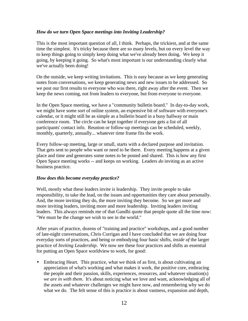# *How do we turn Open Space meetings into Inviting Leadership?*

This is the most important question of all, I think. Perhaps, the trickiest, and at the same time the simplest. It's tricky because there are so many levels, but on every level the way to keep things going to simply keep doing what we've already been doing. We keep it going, by keeping it going. So what's most important is our understanding clearly what we've actually been doing!

On the outside, we keep writing invitations. This is easy because as we keep generating notes from conversations, we keep generating news and new issues to be addressed. So we post our first results to everyone who was there, right away after the event. Then we keep the news coming, not from leaders to everyone, but from everyone to everyone.

In the Open Space meeting, we have a "community bulletin board." In day-to-day work, we might have some sort of online system, an expensive bit of software with everyone's calendar, or it might still be as simple as a bulletin board in a busy hallway or main conference room. The circle can be kept together if everyone gets a list of all participants' contact info. Reunion or follow-up meetings can be scheduled, weekly, monthly, quarterly, annually... whatever time frame fits the work.

Every follow-up meeting, large or small, starts with a declared purpose and invitation. That gets sent to people who want or need to be there. Every meeting happens at a given place and time and generates some notes to be posted and shared. This is how any first Open Space meeting works -- and keeps on working. Leaders *do* inviting as an active business practice.

#### *How does this become everyday practice?*

Well, mostly what these leaders invite *is* leadership. They invite people to take responsibility, to take the lead, on the issues and opportunities they care about personally. And, the more inviting they do, the more inviting they become. So we get more and more inviting leaders, inviting more and more leadership. Inviting leaders inviting leaders. This always reminds me of that Gandhi quote that people quote all the time now: "We must be the change we wish to see in the world."

After years of practice, dozens of "training and practice" workshops, and a good number of late-night conversations, Chris Corrigan and I have concluded that we are doing four everyday sorts of practices, and being or embodying four basic shifts, *inside of* the larger practice of *Inviting Leadership*. We now see these four practices and shifts as essential for putting an Open Space worldview to work, for good:

• Embracing Heart. This practice, what we think of as first, is about cultivating an appreciation of what's working and what makes it work, the positive core, embracing the people and their passion, skills, experiences, resources, and whatever situation(s) *we are in with them*. It's about noticing what we love and want, acknowledging all of the assets and whatever challenges we might have now, and remembering why we do what we do. The felt sense of this is practice is about vastness, expansion and depth,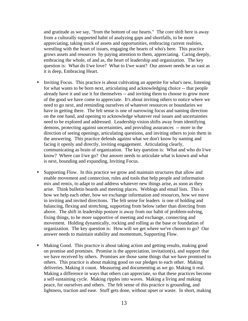and gratitude as we say, "from the bottom of our hearts." The core shift here is away from a culturally supported habit of analyzing gaps and shortfalls, to be more appreciating, taking stock of assets and opportunities, embracing current realities, wrestling with the heart of issues, engaging the hearts of who's here. This practice grows assets and resources by paying attention to them, appreciating. Caring deeply, embracing the whole, of and as, the heart of leadership and organization. The key question is: What do I/we love? What to I/we want? Our answer needs be as vast as it is deep, Embracing Heart.

- Inviting Focus. This practice is about cultivating an appetite for what's new, listening for what wants to be born next, articulating and acknowledging choice -- that people already have it and use it for themselves -- and inviting them to choose to grow more of the good we have come to appreciate. It's about inviting others to notice where we need to go next, and reminding ourselves of whatever resources or boundaries we have in getting there. The felt sense is one of narrowing focus and naming direction on the one hand, and opening to acknowledge whatever real issues and uncertainties need to be explored and addressed. Leadership vision shifts away from identifying demons, protecting against uncertainties, and providing assurances -- more in the direction of seeing openings, articulating questions, and inviting others to join them in the answering. This practice defends against what we don't know by naming and facing it openly and directly, inviting engagement. Articulating clearly, communicating as brain of organization. The key question is: What and who do I/we know? Where can I/we go? Our answer needs to articulate what is known and what is next, bounding and expanding, Inviting Focus.
- Supporting Flow. In this practice we grow and maintain structures that allow and enable movement and connection, rules and tools that help people and information mix and remix, to adapt to and address whatever new things arise, as soon as they arise. Think bulletin boards and meeting places. Weblogs and email lists. This is how we help each other, how we exchange information and resources, how we move in inviting and invited directions. The felt sense for leaders is one of holding and balancing, flexing and stretching, supporting from below rather than directing from above. The shift in leadership posture is away from our habit of problem-solving, fixing things, to be more supportive of meeting and exchange, connecting and movement. Holding dynamically, rocking and rolling as the base or foundation of organization. The key question is: How will we get where we've chosen to go? Our answer needs to maintain stability and momentum, Supporting Flow.
- Making Good. This practice is about taking action and getting results, making good on promise and promises. Promise is the appreciation, invitation(s), and support that we have received by others. Promises are those same things that we have promised to others. This practice is about making good on our pledges to each other. Making deliveries. Making it count. Measuring and documenting as we go. Making it real. Making a difference in ways that others can appreciate, so that these practices become a self-sustaining cycle. Making ripples into waves. Making a living and making peace, for ourselves and others. The felt sense of this practice is grounding, and lightness, traction and ease. Stuff gets done, without upset or waste. In short, making